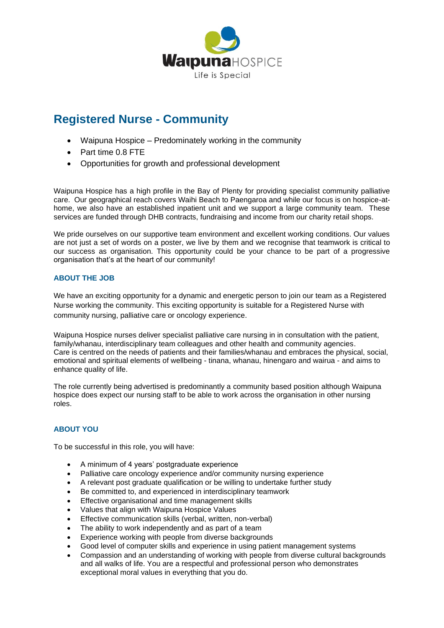

# **Registered Nurse - Community**

- Waipuna Hospice Predominately working in the community
- Part time 0.8 FTE
- Opportunities for growth and professional development

Waipuna Hospice has a high profile in the Bay of Plenty for providing specialist community palliative care. Our geographical reach covers Waihi Beach to Paengaroa and while our focus is on hospice-athome, we also have an established inpatient unit and we support a large community team. These services are funded through DHB contracts, fundraising and income from our charity retail shops.

We pride ourselves on our supportive team environment and excellent working conditions. Our values are not just a set of words on a poster, we live by them and we recognise that teamwork is critical to our success as organisation. This opportunity could be your chance to be part of a progressive organisation that's at the heart of our community!

## **ABOUT THE JOB**

We have an exciting opportunity for a dynamic and energetic person to join our team as a Registered Nurse working the community. This exciting opportunity is suitable for a Registered Nurse with community nursing, palliative care or oncology experience.

Waipuna Hospice nurses deliver specialist palliative care nursing in in consultation with the patient. family/whanau, interdisciplinary team colleagues and other health and community agencies. Care is centred on the needs of patients and their families/whanau and embraces the physical, social, emotional and spiritual elements of wellbeing - tinana, whanau, hinengaro and wairua - and aims to enhance quality of life.

The role currently being advertised is predominantly a community based position although Waipuna hospice does expect our nursing staff to be able to work across the organisation in other nursing roles.

# **ABOUT YOU**

To be successful in this role, you will have:

- A minimum of 4 years' postgraduate experience
- Palliative care oncology experience and/or community nursing experience
- A relevant post graduate qualification or be willing to undertake further study
- Be committed to, and experienced in interdisciplinary teamwork
- Effective organisational and time management skills
- Values that align with Waipuna Hospice Values
- Effective communication skills (verbal, written, non-verbal)
- The ability to work independently and as part of a team
- Experience working with people from diverse backgrounds
- Good level of computer skills and experience in using patient management systems
- Compassion and an understanding of working with people from diverse cultural backgrounds and all walks of life. You are a respectful and professional person who demonstrates exceptional moral values in everything that you do.